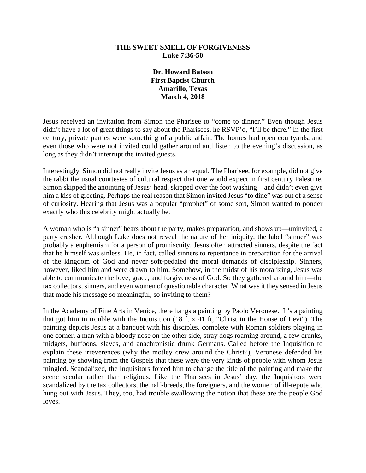## **THE SWEET SMELL OF FORGIVENESS Luke 7:36-50**

**Dr. Howard Batson First Baptist Church Amarillo, Texas March 4, 2018**

Jesus received an invitation from Simon the Pharisee to "come to dinner." Even though Jesus didn't have a lot of great things to say about the Pharisees, he RSVP'd, "I'll be there." In the first century, private parties were something of a public affair. The homes had open courtyards, and even those who were not invited could gather around and listen to the evening's discussion, as long as they didn't interrupt the invited guests.

Interestingly, Simon did not really invite Jesus as an equal. The Pharisee, for example, did not give the rabbi the usual courtesies of cultural respect that one would expect in first century Palestine. Simon skipped the anointing of Jesus' head, skipped over the foot washing—and didn't even give him a kiss of greeting. Perhaps the real reason that Simon invited Jesus "to dine" was out of a sense of curiosity. Hearing that Jesus was a popular "prophet" of some sort, Simon wanted to ponder exactly who this celebrity might actually be.

A woman who is "a sinner" hears about the party, makes preparation, and shows up—uninvited, a party crasher. Although Luke does not reveal the nature of her iniquity, the label "sinner" was probably a euphemism for a person of promiscuity. Jesus often attracted sinners, despite the fact that he himself was sinless. He, in fact, called sinners to repentance in preparation for the arrival of the kingdom of God and never soft-pedaled the moral demands of discipleship. Sinners, however, liked him and were drawn to him. Somehow, in the midst of his moralizing, Jesus was able to communicate the love, grace, and forgiveness of God. So they gathered around him—the tax collectors, sinners, and even women of questionable character. What was it they sensed in Jesus that made his message so meaningful, so inviting to them?

In the Academy of Fine Arts in Venice, there hangs a painting by Paolo Veronese. It's a painting that got him in trouble with the Inquisition (18 ft x 41 ft, "Christ in the House of Levi"). The painting depicts Jesus at a banquet with his disciples, complete with Roman soldiers playing in one corner, a man with a bloody nose on the other side, stray dogs roaming around, a few drunks, midgets, buffoons, slaves, and anachronistic drunk Germans. Called before the Inquisition to explain these irreverences (why the motley crew around the Christ?), Veronese defended his painting by showing from the Gospels that these were the very kinds of people with whom Jesus mingled. Scandalized, the Inquisitors forced him to change the title of the painting and make the scene secular rather than religious. Like the Pharisees in Jesus' day, the Inquisitors were scandalized by the tax collectors, the half-breeds, the foreigners, and the women of ill-repute who hung out with Jesus. They, too, had trouble swallowing the notion that these are the people God loves.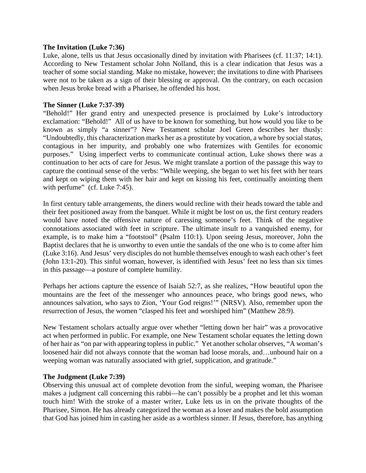### **The Invitation (Luke 7:36)**

Luke, alone, tells us that Jesus occasionally dined by invitation with Pharisees (cf. 11:37; 14:1). According to New Testament scholar John Nolland, this is a clear indication that Jesus was a teacher of some social standing. Make no mistake, however; the invitations to dine with Pharisees were not to be taken as a sign of their blessing or approval. On the contrary, on each occasion when Jesus broke bread with a Pharisee, he offended his host.

## **The Sinner (Luke 7:37-39)**

"Behold!" Her grand entry and unexpected presence is proclaimed by Luke's introductory exclamation: "Behold!" All of us have to be known for something, but how would you like to be known as simply "a sinner"? New Testament scholar Joel Green describes her thusly: "Undoubtedly, this characterization marks her as a prostitute by vocation, a whore by social status, contagious in her impurity, and probably one who fraternizes with Gentiles for economic purposes." Using imperfect verbs to communicate continual action, Luke shows there was a continuation to her acts of care for Jesus. We might translate a portion of the passage this way to capture the continual sense of the verbs: "While weeping, she began to wet his feet with her tears and kept on wiping them with her hair and kept on kissing his feet, continually anointing them with perfume" (cf. Luke 7:45).

In first century table arrangements, the diners would recline with their heads toward the table and their feet positioned away from the banquet. While it might be lost on us, the first century readers would have noted the offensive nature of caressing someone's feet. Think of the negative connotations associated with feet in scripture. The ultimate insult to a vanquished enemy, for example, is to make him a "footstool" (Psalm 110:1). Upon seeing Jesus, moreover, John the Baptist declares that he is unworthy to even untie the sandals of the one who is to come after him (Luke 3:16). And Jesus' very disciples do not humble themselves enough to wash each other's feet (John 13:1-20). This sinful woman, however, is identified with Jesus' feet no less than six times in this passage—a posture of complete humility.

Perhaps her actions capture the essence of Isaiah 52:7, as she realizes, "How beautiful upon the mountains are the feet of the messenger who announces peace, who brings good news, who announces salvation, who says to Zion, 'Your God reigns!'" (NRSV). Also, remember upon the resurrection of Jesus, the women "clasped his feet and worshiped him" (Matthew 28:9).

New Testament scholars actually argue over whether "letting down her hair" was a provocative act when performed in public. For example, one New Testament scholar equates the letting down of her hair as "on par with appearing topless in public." Yet another scholar observes, "A woman's loosened hair did not always connote that the woman had loose morals, and…unbound hair on a weeping woman was naturally associated with grief, supplication, and gratitude."

#### **The Judgment (Luke 7:39)**

Observing this unusual act of complete devotion from the sinful, weeping woman, the Pharisee makes a judgment call concerning this rabbi—he can't possibly be a prophet and let this woman touch him! With the stroke of a master writer, Luke lets us in on the private thoughts of the Pharisee, Simon. He has already categorized the woman as a loser and makes the bold assumption that God has joined him in casting her aside as a worthless sinner. If Jesus, therefore, has anything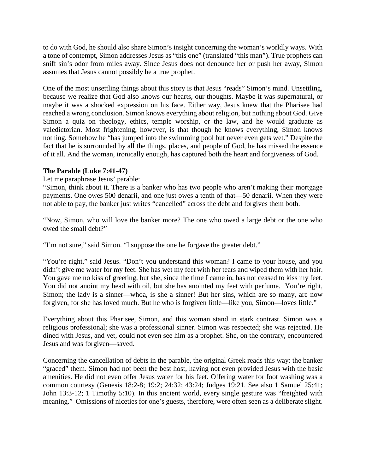to do with God, he should also share Simon's insight concerning the woman's worldly ways. With a tone of contempt, Simon addresses Jesus as "this one" (translated "this man"). True prophets can sniff sin's odor from miles away. Since Jesus does not denounce her or push her away, Simon assumes that Jesus cannot possibly be a true prophet.

One of the most unsettling things about this story is that Jesus "reads" Simon's mind. Unsettling, because we realize that God also knows our hearts, our thoughts. Maybe it was supernatural, or maybe it was a shocked expression on his face. Either way, Jesus knew that the Pharisee had reached a wrong conclusion. Simon knows everything about religion, but nothing about God. Give Simon a quiz on theology, ethics, temple worship, or the law, and he would graduate as valedictorian. Most frightening, however, is that though he knows everything, Simon knows nothing. Somehow he "has jumped into the swimming pool but never even gets wet." Despite the fact that he is surrounded by all the things, places, and people of God, he has missed the essence of it all. And the woman, ironically enough, has captured both the heart and forgiveness of God.

# **The Parable (Luke 7:41-47)**

Let me paraphrase Jesus' parable:

"Simon, think about it. There is a banker who has two people who aren't making their mortgage payments. One owes 500 denarii, and one just owes a tenth of that—50 denarii. When they were not able to pay, the banker just writes "cancelled" across the debt and forgives them both.

"Now, Simon, who will love the banker more? The one who owed a large debt or the one who owed the small debt?"

"I'm not sure," said Simon. "I suppose the one he forgave the greater debt."

"You're right," said Jesus. "Don't you understand this woman? I came to your house, and you didn't give me water for my feet. She has wet my feet with her tears and wiped them with her hair. You gave me no kiss of greeting, but she, since the time I came in, has not ceased to kiss my feet. You did not anoint my head with oil, but she has anointed my feet with perfume. You're right, Simon; the lady is a sinner—whoa, is she a sinner! But her sins, which are so many, are now forgiven, for she has loved much. But he who is forgiven little—like you, Simon—loves little."

Everything about this Pharisee, Simon, and this woman stand in stark contrast. Simon was a religious professional; she was a professional sinner. Simon was respected; she was rejected. He dined with Jesus, and yet, could not even see him as a prophet. She, on the contrary, encountered Jesus and was forgiven—saved.

Concerning the cancellation of debts in the parable, the original Greek reads this way: the banker "graced" them. Simon had not been the best host, having not even provided Jesus with the basic amenities. He did not even offer Jesus water for his feet. Offering water for foot washing was a common courtesy (Genesis 18:2-8; 19:2; 24:32; 43:24; Judges 19:21. See also 1 Samuel 25:41; John 13:3-12; 1 Timothy 5:10). In this ancient world, every single gesture was "freighted with meaning." Omissions of niceties for one's guests, therefore, were often seen as a deliberate slight.